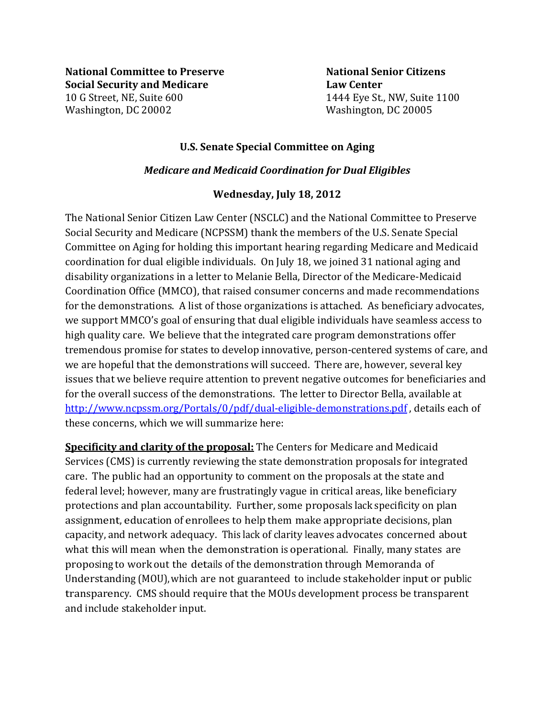**National Committee to Preserve**  National Senior Citizens **Social Security and Medicare Law Center** 10 G Street, NE, Suite 600 1444 Eye St., NW, Suite 1100 Washington, DC 20002 Washington, DC 20005

## **U.S. Senate Special Committee on Aging**

## *Medicare and Medicaid Coordination for Dual Eligibles*

## **Wednesday, July 18, 2012**

The National Senior Citizen Law Center (NSCLC) and the National Committee to Preserve Social Security and Medicare (NCPSSM) thank the members of the U.S. Senate Special Committee on Aging for holding this important hearing regarding Medicare and Medicaid coordination for dual eligible individuals. On July 18, we joined 31 national aging and disability organizations in a letter to Melanie Bella, Director of the Medicare-Medicaid Coordination Office (MMCO), that raised consumer concerns and made recommendations for the demonstrations. A list of those organizations is attached. As beneficiary advocates, we support MMCO's goal of ensuring that dual eligible individuals have seamless access to high quality care. We believe that the integrated care program demonstrations offer tremendous promise for states to develop innovative, person-centered systems of care, and we are hopeful that the demonstrations will succeed. There are, however, several key issues that we believe require attention to prevent negative outcomes for beneficiaries and for the overall success of the demonstrations. The letter to Director Bella, available at http://www.ncpssm.org/Portals/0/pdf/dual-eligible-demonstrations.pdf, details each of these concerns, which we will summarize here:

**Specificity and clarity of the proposal:** The Centers for Medicare and Medicaid Services (CMS) is currently reviewing the state demonstration proposals for integrated care. The public had an opportunity to comment on the proposals at the state and federal level; however, many are frustratingly vague in critical areas, like beneficiary protections and plan accountability. Further, some proposals lack specificity on plan assignment, education of enrollees to help them make appropriate decisions, plan capacity, and network adequacy. This lack of clarity leaves advocates concerned about what this will mean when the demonstration is operational. Finally, many states are proposing to work out the details of the demonstration through Memoranda of Understanding (MOU), which are not guaranteed to include stakeholder input or public transparency. CMS should require that the MOUs development process be transparent and include stakeholder input.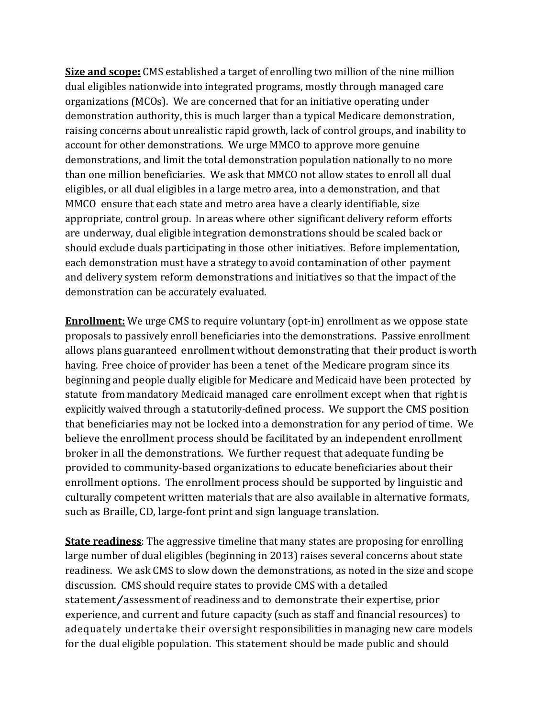**Size and scope:** CMS established a target of enrolling two million of the nine million dual eligibles nationwide into integrated programs, mostly through managed care organizations (MCOs). We are concerned that for an initiative operating under demonstration authority, this is much larger than a typical Medicare demonstration, raising concerns about unrealistic rapid growth, lack of control groups, and inability to account for other demonstrations. We urge MMCO to approve more genuine demonstrations, and limit the total demonstration population nationally to no more than one million beneficiaries. We ask that MMCO not allow states to enroll all dual eligibles, or all dual eligibles in a large metro area, into a demonstration, and that MMCO ensure that each state and metro area have a clearly identifiable, size appropriate, control group. In areas where other significant delivery reform efforts are underway, dual eligible integration demonstrations should be scaled back or should exclude duals participating in those other initiatives. Before implementation, each demonstration must have a strategy to avoid contamination of other payment and delivery system reform demonstrations and initiatives so that the impact of the demonstration can be accurately evaluated.

**Enrollment:** We urge CMS to require voluntary (opt-in) enrollment as we oppose state proposals to passively enroll beneficiaries into the demonstrations. Passive enrollment allows plans guaranteed enrollment without demonstrating that their product is worth having. Free choice of provider has been a tenet of the Medicare program since its beginning and people dually eligible for Medicare and Medicaid have been protected by statute from mandatory Medicaid managed care enrollment except when that right is explicitly waived through a statutorily-defined process. We support the CMS position that beneficiaries may not be locked into a demonstration for any period of time. We believe the enrollment process should be facilitated by an independent enrollment broker in all the demonstrations. We further request that adequate funding be provided to community-based organizations to educate beneficiaries about their enrollment options. The enrollment process should be supported by linguistic and culturally competent written materials that are also available in alternative formats, such as Braille, CD, large-font print and sign language translation.

**State readiness**: The aggressive timeline that many states are proposing for enrolling large number of dual eligibles (beginning in 2013) raises several concerns about state readiness. We ask CMS to slow down the demonstrations, as noted in the size and scope discussion. CMS should require states to provide CMS with a detailed statement/assessment of readiness and to demonstrate their expertise, prior experience, and current and future capacity (such as staff and financial resources) to adequately undertake their oversight responsibilities in managing new care models for the dual eligible population. This statement should be made public and should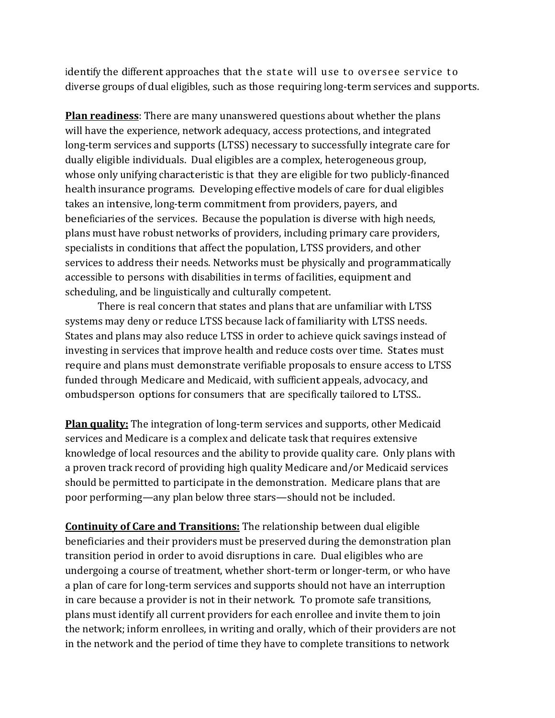identify the different approaches that the state will use to oversee service to diverse groups of dual eligibles, such as those requiring long-term services and supports.

**Plan readiness**: There are many unanswered questions about whether the plans will have the experience, network adequacy, access protections, and integrated long-term services and supports (LTSS) necessary to successfully integrate care for dually eligible individuals. Dual eligibles are a complex, heterogeneous group, whose only unifying characteristic is that they are eligible for two publicly-financed health insurance programs. Developing effective models of care for dual eligibles takes an intensive, long-term commitment from providers, payers, and beneficiaries of the services. Because the population is diverse with high needs, plans must have robust networks of providers, including primary care providers, specialists in conditions that affect the population, LTSS providers, and other services to address their needs. Networks must be physically and programmatically accessible to persons with disabilities in terms of facilities, equipment and scheduling, and be linguistically and culturally competent.

There is real concern that states and plans that are unfamiliar with LTSS systems may deny or reduce LTSS because lack of familiarity with LTSS needs. States and plans may also reduce LTSS in order to achieve quick savings instead of investing in services that improve health and reduce costs over time. States must require and plans must demonstrate verifiable proposals to ensure access to LTSS funded through Medicare and Medicaid, with sufficient appeals, advocacy, and ombudsperson options for consumers that are specifically tailored to LTSS..

**Plan quality:** The integration of long-term services and supports, other Medicaid services and Medicare is a complex and delicate task that requires extensive knowledge of local resources and the ability to provide quality care. Only plans with a proven track record of providing high quality Medicare and/or Medicaid services should be permitted to participate in the demonstration. Medicare plans that are poor performing—any plan below three stars—should not be included.

**Continuity of Care and Transitions:** The relationship between dual eligible beneficiaries and their providers must be preserved during the demonstration plan transition period in order to avoid disruptions in care. Dual eligibles who are undergoing a course of treatment, whether short-term or longer-term, or who have a plan of care for long-term services and supports should not have an interruption in care because a provider is not in their network. To promote safe transitions, plans must identify all current providers for each enrollee and invite them to join the network; inform enrollees, in writing and orally, which of their providers are not in the network and the period of time they have to complete transitions to network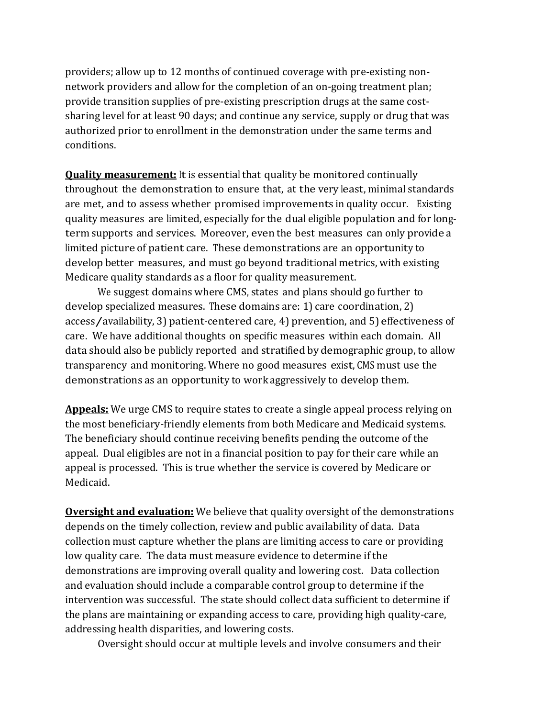providers; allow up to 12 months of continued coverage with pre-existing nonnetwork providers and allow for the completion of an on-going treatment plan; provide transition supplies of pre-existing prescription drugs at the same costsharing level for at least 90 days; and continue any service, supply or drug that was authorized prior to enrollment in the demonstration under the same terms and conditions.

**Quality measurement:** It is essential that quality be monitored continually throughout the demonstration to ensure that, at the very least, minimal standards are met, and to assess whether promised improvements in quality occur. Existing quality measures are limited, especially for the dual eligible population and for longterm supports and services. Moreover, even the best measures can only provide a limited picture of patient care. These demonstrations are an opportunity to develop better measures, and must go beyond traditional metrics, with existing Medicare quality standards as a floor for quality measurement.

We suggest domains where CMS, states and plans should go further to develop specialized measures. These domains are: 1) care coordination, 2) access/availability, 3) patient-centered care, 4) prevention, and 5) effectiveness of care. We have additional thoughts on specific measures within each domain. All data should also be publicly reported and stratified by demographic group, to allow transparency and monitoring. Where no good measures exist, CMS must use the demonstrations as an opportunity to work aggressively to develop them.

**Appeals:** We urge CMS to require states to create a single appeal process relying on the most beneficiary-friendly elements from both Medicare and Medicaid systems. The beneficiary should continue receiving benefits pending the outcome of the appeal. Dual eligibles are not in a financial position to pay for their care while an appeal is processed. This is true whether the service is covered by Medicare or Medicaid.

**Oversight and evaluation:** We believe that quality oversight of the demonstrations depends on the timely collection, review and public availability of data. Data collection must capture whether the plans are limiting access to care or providing low quality care. The data must measure evidence to determine if the demonstrations are improving overall quality and lowering cost. Data collection and evaluation should include a comparable control group to determine if the intervention was successful. The state should collect data sufficient to determine if the plans are maintaining or expanding access to care, providing high quality-care, addressing health disparities, and lowering costs.

Oversight should occur at multiple levels and involve consumers and their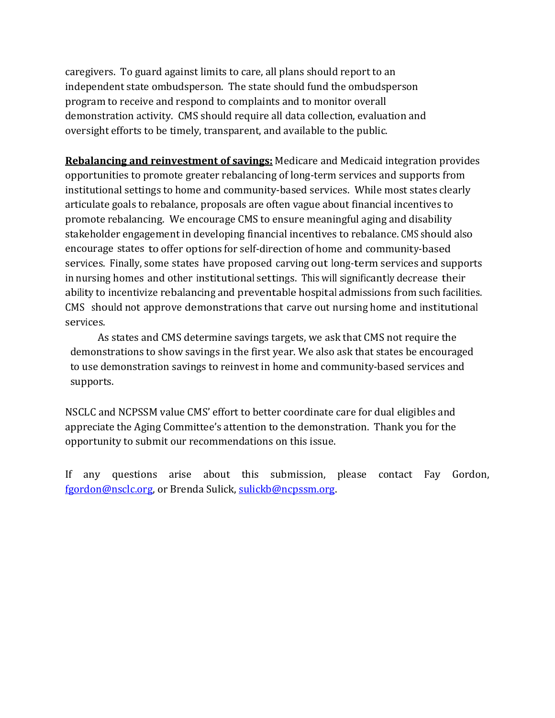caregivers. To guard against limits to care, all plans should report to an independent state ombudsperson. The state should fund the ombudsperson program to receive and respond to complaints and to monitor overall demonstration activity. CMS should require all data collection, evaluation and oversight efforts to be timely, transparent, and available to the public.

**Rebalancing and reinvestment of savings:** Medicare and Medicaid integration provides opportunities to promote greater rebalancing of long-term services and supports from institutional settings to home and community-based services. While most states clearly articulate goals to rebalance, proposals are often vague about financial incentives to promote rebalancing. We encourage CMS to ensure meaningful aging and disability stakeholder engagement in developing financial incentives to rebalance. CMS should also encourage states to offer options for self-direction of home and community-based services. Finally, some states have proposed carving out long-term services and supports in nursing homes and other institutional settings. This will significantly decrease their ability to incentivize rebalancing and preventable hospital admissions from such facilities. CMS should not approve demonstrations that carve out nursing home and institutional services.

 As states and CMS determine savings targets, we ask that CMS not require the demonstrations to show savings in the first year. We also ask that states be encouraged to use demonstration savings to reinvest in home and community-based services and supports.

NSCLC and NCPSSM value CMS' effort to better coordinate care for dual eligibles and appreciate the Aging Committee's attention to the demonstration. Thank you for the opportunity to submit our recommendations on this issue.

If any questions arise about this submission, please contact Fay Gordon, [fgordon@nsclc.org,](mailto:fgordon@nsclc.org) or Brenda Sulick, [sulickb@ncpssm.org.](mailto:sulickb@ncpssm.org)